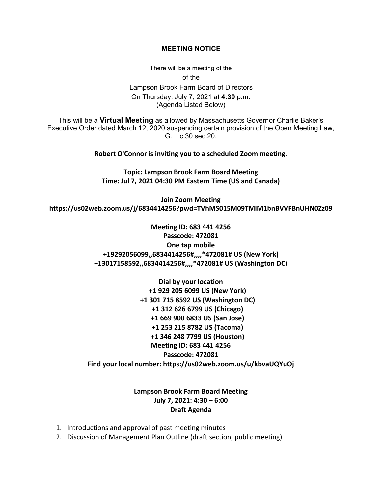## **MEETING NOTICE**

There will be a meeting of the of the Lampson Brook Farm Board of Directors On Thursday, July 7, 2021 at **4:30** p.m. (Agenda Listed Below)

This will be a **Virtual Meeting** as allowed by Massachusetts Governor Charlie Baker's Executive Order dated March 12, 2020 suspending certain provision of the Open Meeting Law, G.L. c.30 sec.20.

**Robert O'Connor is inviting you to a scheduled Zoom meeting.**

**Topic: Lampson Brook Farm Board Meeting Time: Jul 7, 2021 04:30 PM Eastern Time (US and Canada)**

**Join Zoom Meeting https://us02web.zoom.us/j/6834414256?pwd=TVhMS015M09TMlM1bnBVVFBnUHN0Zz09**

> **Meeting ID: 683 441 4256 Passcode: 472081 One tap mobile +19292056099,,6834414256#,,,,\*472081# US (New York) +13017158592,,6834414256#,,,,\*472081# US (Washington DC)**

**Dial by your location +1 929 205 6099 US (New York) +1 301 715 8592 US (Washington DC) +1 312 626 6799 US (Chicago) +1 669 900 6833 US (San Jose) +1 253 215 8782 US (Tacoma) +1 346 248 7799 US (Houston) Meeting ID: 683 441 4256 Passcode: 472081 Find your local number: https://us02web.zoom.us/u/kbvaUQYuOj**

## **Lampson Brook Farm Board Meeting July 7, 2021: 4:30 – 6:00 Draft Agenda**

- 1. Introductions and approval of past meeting minutes
- 2. Discussion of Management Plan Outline (draft section, public meeting)